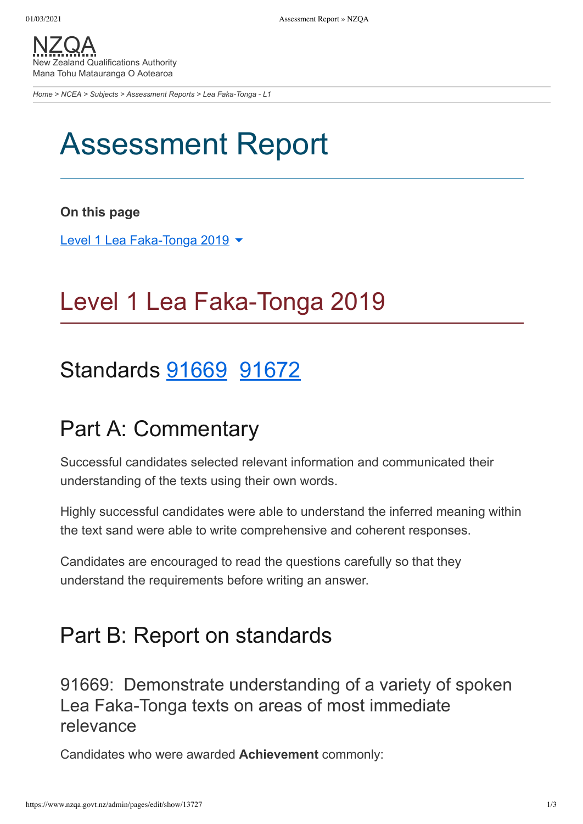[NZQA](https://www.nzqa.govt.nz/) New Zealand Qualifications Authority Mana Tohu Matauranga O Aotearoa

*[Home](https://www.nzqa.govt.nz/home) > [NCEA](https://www.nzqa.govt.nz/ncea/?stage=Stage) > [Subjects](https://www.nzqa.govt.nz/ncea/subjects/?stage=Stage) > [Assessment Reports](https://www.nzqa.govt.nz/ncea/subjects/assessment-reports/?stage=Stage) > Lea Faka-Tonga - L1*

# Assessment Report

#### **On this page**

Level 1 Lea [Faka-Tonga](https://www.nzqa.govt.nz/ncea/subjects/assessment-reports/tongan-l1/?stage=Stage&CMSPreview=1#heading2-0) 2019 ▼

## Level 1 Lea Faka-Tonga 2019

### Standards [91669](https://www.nzqa.govt.nz/ncea/subjects/assessment-reports/tongan-l1/?stage=Stage&CMSPreview=1#91669) [91672](https://www.nzqa.govt.nz/ncea/subjects/assessment-reports/tongan-l1/?stage=Stage&CMSPreview=1#91672)

### Part A: Commentary

Successful candidates selected relevant information and communicated their understanding of the texts using their own words.

Highly successful candidates were able to understand the inferred meaning within the text sand were able to write comprehensive and coherent responses.

Candidates are encouraged to read the questions carefully so that they understand the requirements before writing an answer.

### Part B: Report on standards

91669: Demonstrate understanding of a variety of spoken Lea Faka-Tonga texts on areas of most immediate relevance

Candidates who were awarded **Achievement** commonly: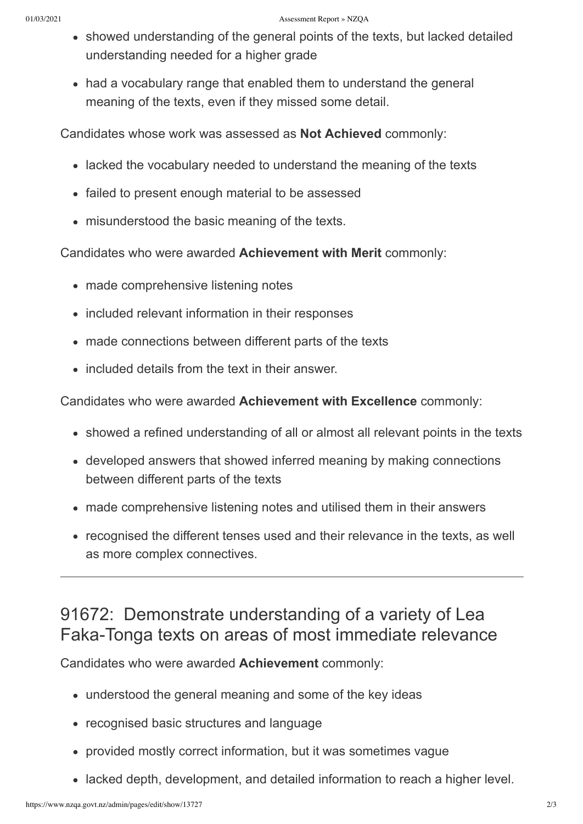- showed understanding of the general points of the texts, but lacked detailed understanding needed for a higher grade
- had a vocabulary range that enabled them to understand the general meaning of the texts, even if they missed some detail.

Candidates whose work was assessed as **Not Achieved** commonly:

- lacked the vocabulary needed to understand the meaning of the texts
- failed to present enough material to be assessed
- misunderstood the basic meaning of the texts.

Candidates who were awarded **Achievement with Merit** commonly:

- made comprehensive listening notes
- included relevant information in their responses
- made connections between different parts of the texts
- included details from the text in their answer.

Candidates who were awarded **Achievement with Excellence** commonly:

- showed a refined understanding of all or almost all relevant points in the texts
- developed answers that showed inferred meaning by making connections between different parts of the texts
- made comprehensive listening notes and utilised them in their answers
- recognised the different tenses used and their relevance in the texts, as well as more complex connectives.

#### 91672: Demonstrate understanding of a variety of Lea Faka-Tonga texts on areas of most immediate relevance

Candidates who were awarded **Achievement** commonly:

- understood the general meaning and some of the key ideas
- recognised basic structures and language
- provided mostly correct information, but it was sometimes vague
- lacked depth, development, and detailed information to reach a higher level.